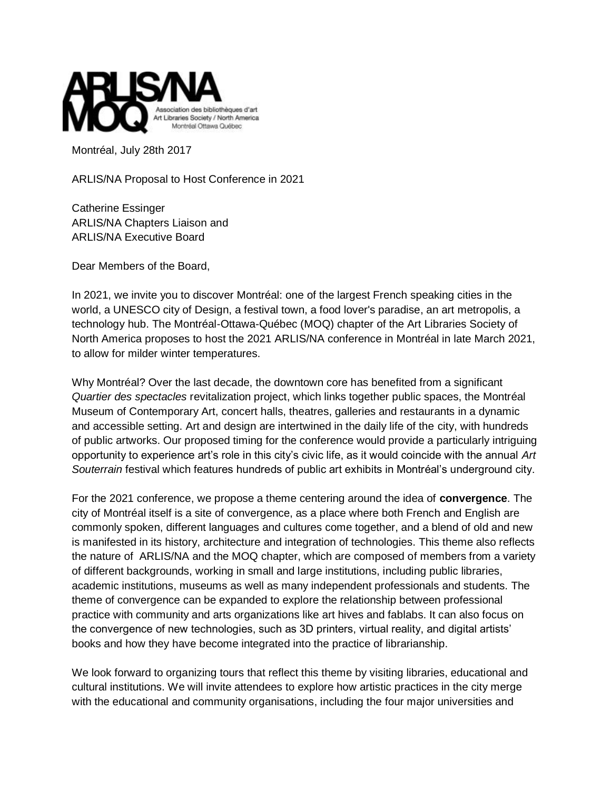

Montréal, July 28th 2017

ARLIS/NA Proposal to Host Conference in 2021

Catherine Essinger ARLIS/NA Chapters Liaison and ARLIS/NA Executive Board

Dear Members of the Board,

In 2021, we invite you to discover Montréal: one of the largest French speaking cities in the world, a UNESCO city of Design, a festival town, a food lover's paradise, an art metropolis, a technology hub. The Montréal-Ottawa-Québec (MOQ) chapter of the Art Libraries Society of North America proposes to host the 2021 ARLIS/NA conference in Montréal in late March 2021, to allow for milder winter temperatures.

Why Montréal? Over the last decade, the downtown core has benefited from a significant *Quartier des spectacles* revitalization project, which links together public spaces, the Montréal Museum of Contemporary Art, concert halls, theatres, galleries and restaurants in a dynamic and accessible setting. Art and design are intertwined in the daily life of the city, with hundreds of public artworks. Our proposed timing for the conference would provide a particularly intriguing opportunity to experience art's role in this city's civic life, as it would coincide with the annual *Art Souterrain* festival which features hundreds of public art exhibits in Montréal's underground city.

For the 2021 conference, we propose a theme centering around the idea of **convergence**. The city of Montréal itself is a site of convergence, as a place where both French and English are commonly spoken, different languages and cultures come together, and a blend of old and new is manifested in its history, architecture and integration of technologies. This theme also reflects the nature of ARLIS/NA and the MOQ chapter, which are composed of members from a variety of different backgrounds, working in small and large institutions, including public libraries, academic institutions, museums as well as many independent professionals and students. The theme of convergence can be expanded to explore the relationship between professional practice with community and arts organizations like art hives and fablabs. It can also focus on the convergence of new technologies, such as 3D printers, virtual reality, and digital artists' books and how they have become integrated into the practice of librarianship.

We look forward to organizing tours that reflect this theme by visiting libraries, educational and cultural institutions. We will invite attendees to explore how artistic practices in the city merge with the educational and community organisations, including the four major universities and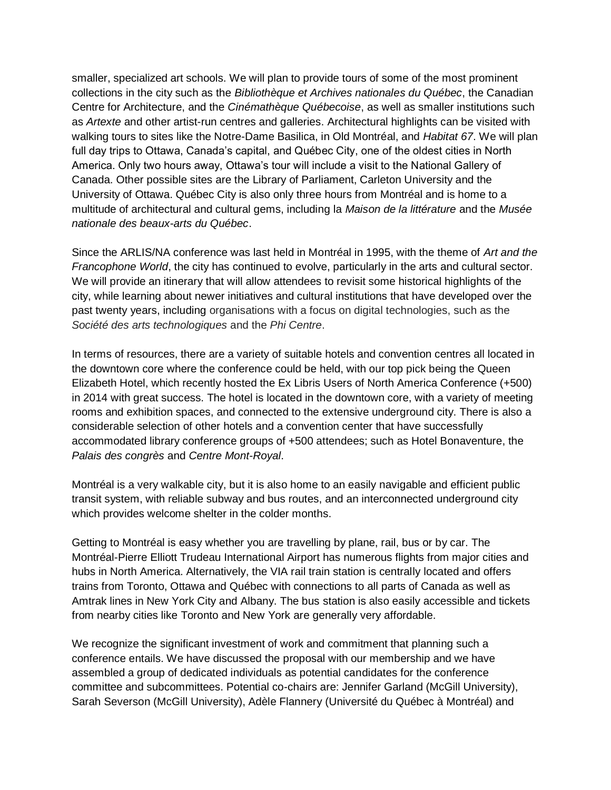smaller, specialized art schools. We will plan to provide tours of some of the most prominent collections in the city such as the *Bibliothèque et Archives nationales du Québec*, the Canadian Centre for Architecture, and the *Cinémathèque Québecoise*, as well as smaller institutions such as *Artexte* and other artist-run centres and galleries. Architectural highlights can be visited with walking tours to sites like the Notre-Dame Basilica, in Old Montréal, and *Habitat 67*. We will plan full day trips to Ottawa, Canada's capital, and Québec City, one of the oldest cities in North America. Only two hours away, Ottawa's tour will include a visit to the National Gallery of Canada. Other possible sites are the Library of Parliament, Carleton University and the University of Ottawa. Québec City is also only three hours from Montréal and is home to a multitude of architectural and cultural gems, including la *Maison de la littérature* and the *Musée nationale des beaux-arts du Québec*.

Since the ARLIS/NA conference was last held in Montréal in 1995, with the theme of *Art and the Francophone World*, the city has continued to evolve, particularly in the arts and cultural sector. We will provide an itinerary that will allow attendees to revisit some historical highlights of the city, while learning about newer initiatives and cultural institutions that have developed over the past twenty years, including organisations with a focus on digital technologies, such as the *Société des arts technologiques* and the *Phi Centre*.

In terms of resources, there are a variety of suitable hotels and convention centres all located in the downtown core where the conference could be held, with our top pick being the Queen Elizabeth Hotel, which recently hosted the Ex Libris Users of North America Conference (+500) in 2014 with great success. The hotel is located in the downtown core, with a variety of meeting rooms and exhibition spaces, and connected to the extensive underground city. There is also a considerable selection of other hotels and a convention center that have successfully accommodated library conference groups of +500 attendees; such as Hotel Bonaventure, the *Palais des congrès* and *Centre Mont-Royal*.

Montréal is a very walkable city, but it is also home to an easily navigable and efficient public transit system, with reliable subway and bus routes, and an interconnected underground city which provides welcome shelter in the colder months.

Getting to Montréal is easy whether you are travelling by plane, rail, bus or by car. The Montréal-Pierre Elliott Trudeau International Airport has numerous flights from major cities and hubs in North America. Alternatively, the VIA rail train station is centrally located and offers trains from Toronto, Ottawa and Québec with connections to all parts of Canada as well as Amtrak lines in New York City and Albany. The bus station is also easily accessible and tickets from nearby cities like Toronto and New York are generally very affordable.

We recognize the significant investment of work and commitment that planning such a conference entails. We have discussed the proposal with our membership and we have assembled a group of dedicated individuals as potential candidates for the conference committee and subcommittees. Potential co-chairs are: Jennifer Garland (McGill University), Sarah Severson (McGill University), Adèle Flannery (Université du Québec à Montréal) and